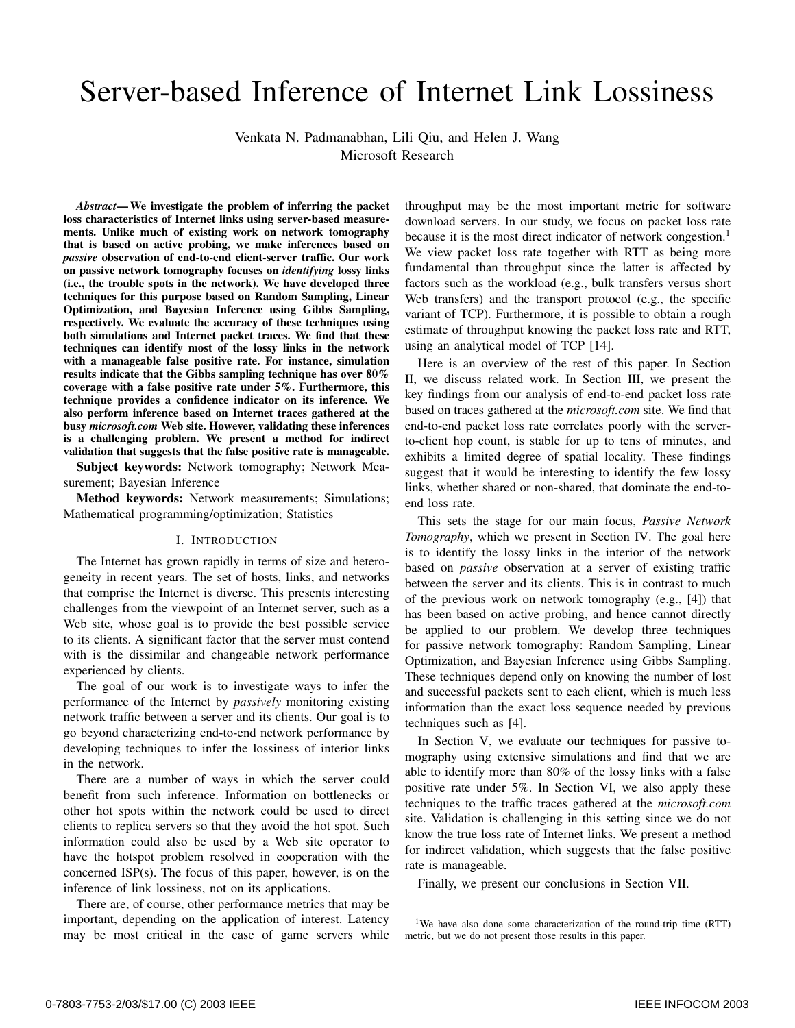# Server-based Inference of Internet Link Lossiness

Venkata N. Padmanabhan, Lili Qiu, and Helen J. Wang Microsoft Research

*Abstract***— We investigate the problem of inferring the packet loss characteristics of Internet links using server-based measurements. Unlike much of existing work on network tomography that is based on active probing, we make inferences based on** *passive* **observation of end-to-end client-server traffic. Our work on passive network tomography focuses on** *identifying* **lossy links (i.e., the trouble spots in the network). We have developed three techniques for this purpose based on Random Sampling, Linear Optimization, and Bayesian Inference using Gibbs Sampling, respectively. We evaluate the accuracy of these techniques using both simulations and Internet packet traces. We find that these techniques can identify most of the lossy links in the network with a manageable false positive rate. For instance, simulation results indicate that the Gibbs sampling technique has over 80% coverage with a false positive rate under 5%. Furthermore, this technique provides a confidence indicator on its inference. We also perform inference based on Internet traces gathered at the busy** *microsoft.com* **Web site. However, validating these inferences is a challenging problem. We present a method for indirect validation that suggests that the false positive rate is manageable.**

**Subject keywords:** Network tomography; Network Measurement; Bayesian Inference

**Method keywords:** Network measurements; Simulations; Mathematical programming/optimization; Statistics

# I. INTRODUCTION

The Internet has grown rapidly in terms of size and heterogeneity in recent years. The set of hosts, links, and networks that comprise the Internet is diverse. This presents interesting challenges from the viewpoint of an Internet server, such as a Web site, whose goal is to provide the best possible service to its clients. A significant factor that the server must contend with is the dissimilar and changeable network performance experienced by clients.

The goal of our work is to investigate ways to infer the performance of the Internet by *passively* monitoring existing network traffic between a server and its clients. Our goal is to go beyond characterizing end-to-end network performance by developing techniques to infer the lossiness of interior links in the network.

There are a number of ways in which the server could benefit from such inference. Information on bottlenecks or other hot spots within the network could be used to direct clients to replica servers so that they avoid the hot spot. Such information could also be used by a Web site operator to have the hotspot problem resolved in cooperation with the concerned ISP(s). The focus of this paper, however, is on the inference of link lossiness, not on its applications.

There are, of course, other performance metrics that may be important, depending on the application of interest. Latency may be most critical in the case of game servers while throughput may be the most important metric for software download servers. In our study, we focus on packet loss rate because it is the most direct indicator of network congestion.<sup>1</sup> We view packet loss rate together with RTT as being more fundamental than throughput since the latter is affected by factors such as the workload (e.g., bulk transfers versus short Web transfers) and the transport protocol (e.g., the specific variant of TCP). Furthermore, it is possible to obtain a rough estimate of throughput knowing the packet loss rate and RTT, using an analytical model of TCP [14].

Here is an overview of the rest of this paper. In Section II, we discuss related work. In Section III, we present the key findings from our analysis of end-to-end packet loss rate based on traces gathered at the *microsoft.com* site. We find that end-to-end packet loss rate correlates poorly with the serverto-client hop count, is stable for up to tens of minutes, and exhibits a limited degree of spatial locality. These findings suggest that it would be interesting to identify the few lossy links, whether shared or non-shared, that dominate the end-toend loss rate.

This sets the stage for our main focus, *Passive Network Tomography*, which we present in Section IV. The goal here is to identify the lossy links in the interior of the network based on *passive* observation at a server of existing traffic between the server and its clients. This is in contrast to much of the previous work on network tomography (e.g., [4]) that has been based on active probing, and hence cannot directly be applied to our problem. We develop three techniques for passive network tomography: Random Sampling, Linear Optimization, and Bayesian Inference using Gibbs Sampling. These techniques depend only on knowing the number of lost and successful packets sent to each client, which is much less information than the exact loss sequence needed by previous techniques such as [4].

In Section V, we evaluate our techniques for passive tomography using extensive simulations and find that we are able to identify more than 80% of the lossy links with a false positive rate under 5%. In Section VI, we also apply these techniques to the traffic traces gathered at the *microsoft.com* site. Validation is challenging in this setting since we do not know the true loss rate of Internet links. We present a method for indirect validation, which suggests that the false positive rate is manageable.

Finally, we present our conclusions in Section VII.

<sup>1</sup>We have also done some characterization of the round-trip time (RTT) metric, but we do not present those results in this paper.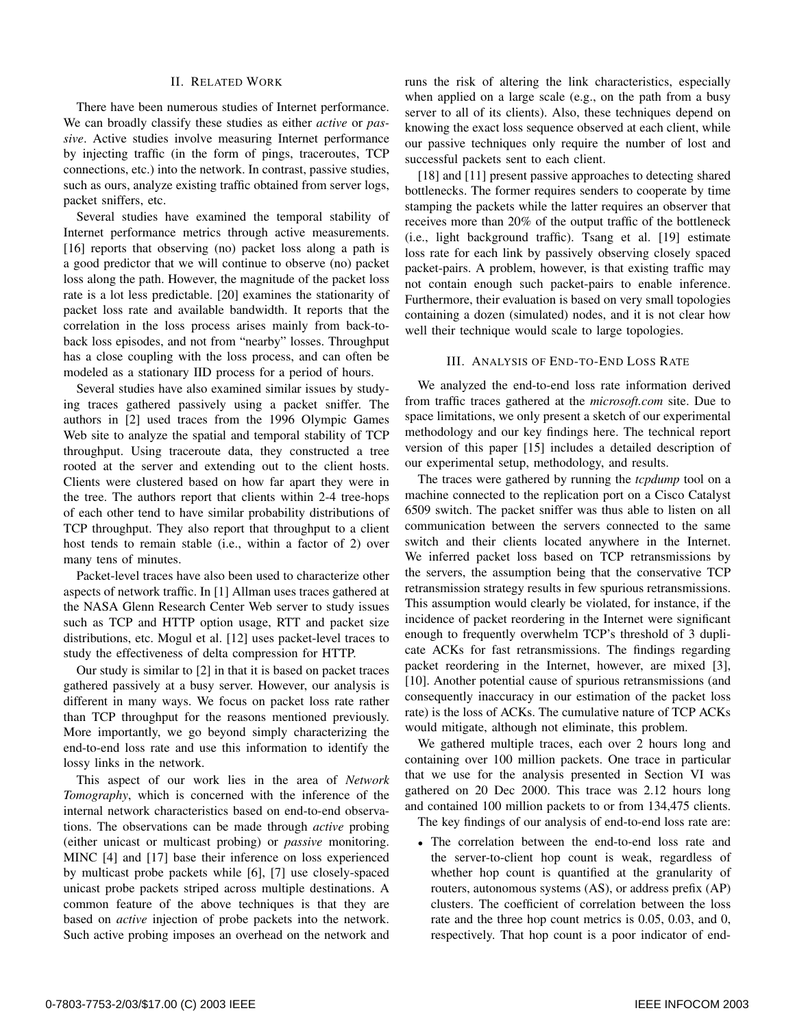## II. RELATED WORK

There have been numerous studies of Internet performance. We can broadly classify these studies as either *active* or *passive*. Active studies involve measuring Internet performance by injecting traffic (in the form of pings, traceroutes, TCP connections, etc.) into the network. In contrast, passive studies, such as ours, analyze existing traffic obtained from server logs, packet sniffers, etc.

Several studies have examined the temporal stability of Internet performance metrics through active measurements. [16] reports that observing (no) packet loss along a path is a good predictor that we will continue to observe (no) packet loss along the path. However, the magnitude of the packet loss rate is a lot less predictable. [20] examines the stationarity of packet loss rate and available bandwidth. It reports that the correlation in the loss process arises mainly from back-toback loss episodes, and not from "nearby" losses. Throughput has a close coupling with the loss process, and can often be modeled as a stationary IID process for a period of hours.

Several studies have also examined similar issues by studying traces gathered passively using a packet sniffer. The authors in [2] used traces from the 1996 Olympic Games Web site to analyze the spatial and temporal stability of TCP throughput. Using traceroute data, they constructed a tree rooted at the server and extending out to the client hosts. Clients were clustered based on how far apart they were in the tree. The authors report that clients within 2-4 tree-hops of each other tend to have similar probability distributions of TCP throughput. They also report that throughput to a client host tends to remain stable (i.e., within a factor of 2) over many tens of minutes.

Packet-level traces have also been used to characterize other aspects of network traffic. In [1] Allman uses traces gathered at the NASA Glenn Research Center Web server to study issues such as TCP and HTTP option usage, RTT and packet size distributions, etc. Mogul et al. [12] uses packet-level traces to study the effectiveness of delta compression for HTTP.

Our study is similar to [2] in that it is based on packet traces gathered passively at a busy server. However, our analysis is different in many ways. We focus on packet loss rate rather than TCP throughput for the reasons mentioned previously. More importantly, we go beyond simply characterizing the end-to-end loss rate and use this information to identify the lossy links in the network.

This aspect of our work lies in the area of *Network Tomography*, which is concerned with the inference of the internal network characteristics based on end-to-end observations. The observations can be made through *active* probing (either unicast or multicast probing) or *passive* monitoring. MINC [4] and [17] base their inference on loss experienced by multicast probe packets while [6], [7] use closely-spaced unicast probe packets striped across multiple destinations. A common feature of the above techniques is that they are based on *active* injection of probe packets into the network. Such active probing imposes an overhead on the network and runs the risk of altering the link characteristics, especially when applied on a large scale (e.g., on the path from a busy server to all of its clients). Also, these techniques depend on knowing the exact loss sequence observed at each client, while our passive techniques only require the number of lost and successful packets sent to each client.

[18] and [11] present passive approaches to detecting shared bottlenecks. The former requires senders to cooperate by time stamping the packets while the latter requires an observer that receives more than 20% of the output traffic of the bottleneck (i.e., light background traffic). Tsang et al. [19] estimate loss rate for each link by passively observing closely spaced packet-pairs. A problem, however, is that existing traffic may not contain enough such packet-pairs to enable inference. Furthermore, their evaluation is based on very small topologies containing a dozen (simulated) nodes, and it is not clear how well their technique would scale to large topologies.

# III. ANALYSIS OF END-TO-END LOSS RATE

We analyzed the end-to-end loss rate information derived from traffic traces gathered at the *microsoft.com* site. Due to space limitations, we only present a sketch of our experimental methodology and our key findings here. The technical report version of this paper [15] includes a detailed description of our experimental setup, methodology, and results.

The traces were gathered by running the *tcpdump* tool on a machine connected to the replication port on a Cisco Catalyst 6509 switch. The packet sniffer was thus able to listen on all communication between the servers connected to the same switch and their clients located anywhere in the Internet. We inferred packet loss based on TCP retransmissions by the servers, the assumption being that the conservative TCP retransmission strategy results in few spurious retransmissions. This assumption would clearly be violated, for instance, if the incidence of packet reordering in the Internet were significant enough to frequently overwhelm TCP's threshold of 3 duplicate ACKs for fast retransmissions. The findings regarding packet reordering in the Internet, however, are mixed [3], [10]. Another potential cause of spurious retransmissions (and consequently inaccuracy in our estimation of the packet loss rate) is the loss of ACKs. The cumulative nature of TCP ACKs would mitigate, although not eliminate, this problem.

We gathered multiple traces, each over 2 hours long and containing over 100 million packets. One trace in particular that we use for the analysis presented in Section VI was gathered on 20 Dec 2000. This trace was 2.12 hours long and contained 100 million packets to or from 134,475 clients.

The key findings of our analysis of end-to-end loss rate are:

*•* The correlation between the end-to-end loss rate and the server-to-client hop count is weak, regardless of whether hop count is quantified at the granularity of routers, autonomous systems (AS), or address prefix (AP) clusters. The coefficient of correlation between the loss rate and the three hop count metrics is 0.05, 0.03, and 0, respectively. That hop count is a poor indicator of end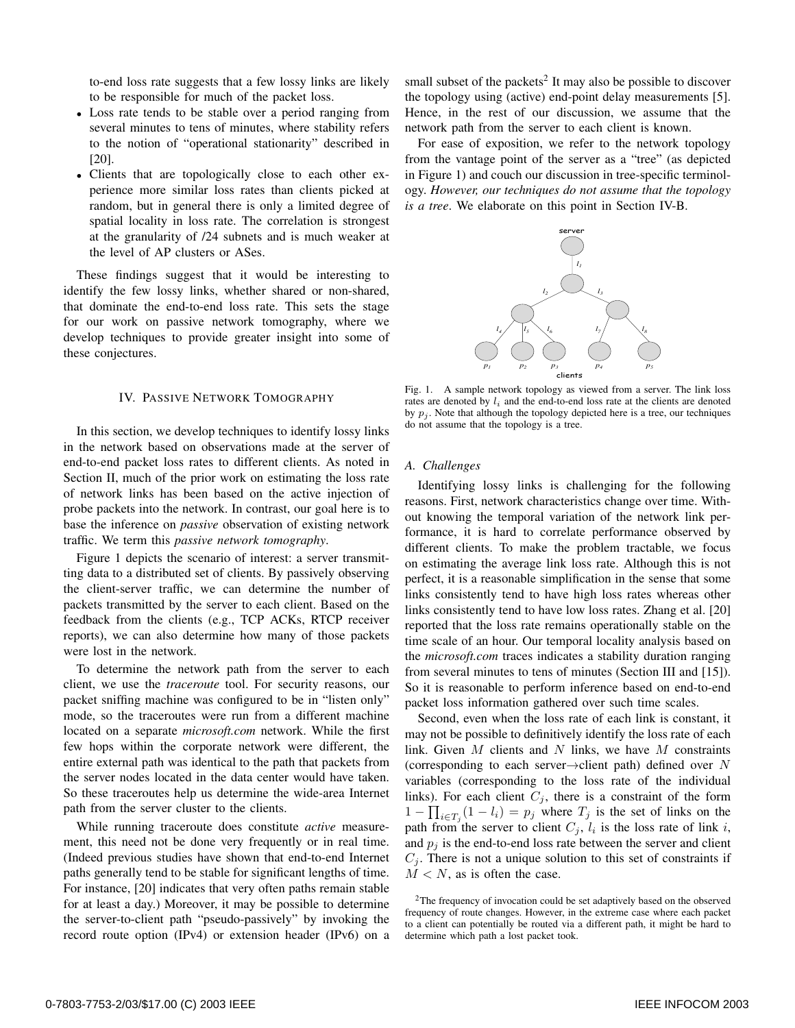to-end loss rate suggests that a few lossy links are likely to be responsible for much of the packet loss.

- *•* Loss rate tends to be stable over a period ranging from several minutes to tens of minutes, where stability refers to the notion of "operational stationarity" described in [20].
- *•* Clients that are topologically close to each other experience more similar loss rates than clients picked at random, but in general there is only a limited degree of spatial locality in loss rate. The correlation is strongest at the granularity of /24 subnets and is much weaker at the level of AP clusters or ASes.

These findings suggest that it would be interesting to identify the few lossy links, whether shared or non-shared, that dominate the end-to-end loss rate. This sets the stage for our work on passive network tomography, where we develop techniques to provide greater insight into some of these conjectures.

# IV. PASSIVE NETWORK TOMOGRAPHY

In this section, we develop techniques to identify lossy links in the network based on observations made at the server of end-to-end packet loss rates to different clients. As noted in Section II, much of the prior work on estimating the loss rate of network links has been based on the active injection of probe packets into the network. In contrast, our goal here is to base the inference on *passive* observation of existing network traffic. We term this *passive network tomography*.

Figure 1 depicts the scenario of interest: a server transmitting data to a distributed set of clients. By passively observing the client-server traffic, we can determine the number of packets transmitted by the server to each client. Based on the feedback from the clients (e.g., TCP ACKs, RTCP receiver reports), we can also determine how many of those packets were lost in the network.

To determine the network path from the server to each client, we use the *traceroute* tool. For security reasons, our packet sniffing machine was configured to be in "listen only" mode, so the traceroutes were run from a different machine located on a separate *microsoft.com* network. While the first few hops within the corporate network were different, the entire external path was identical to the path that packets from the server nodes located in the data center would have taken. So these traceroutes help us determine the wide-area Internet path from the server cluster to the clients.

While running traceroute does constitute *active* measurement, this need not be done very frequently or in real time. (Indeed previous studies have shown that end-to-end Internet paths generally tend to be stable for significant lengths of time. For instance, [20] indicates that very often paths remain stable for at least a day.) Moreover, it may be possible to determine the server-to-client path "pseudo-passively" by invoking the record route option (IPv4) or extension header (IPv6) on a small subset of the packets<sup>2</sup> It may also be possible to discover the topology using (active) end-point delay measurements [5]. Hence, in the rest of our discussion, we assume that the network path from the server to each client is known.

For ease of exposition, we refer to the network topology from the vantage point of the server as a "tree" (as depicted in Figure 1) and couch our discussion in tree-specific terminology. *However, our techniques do not assume that the topology is a tree*. We elaborate on this point in Section IV-B.



Fig. 1. A sample network topology as viewed from a server. The link loss rates are denoted by *l<sup>i</sup>* and the end-to-end loss rate at the clients are denoted by  $p_j$ . Note that although the topology depicted here is a tree, our techniques do not assume that the topology is a tree.

#### *A. Challenges*

Identifying lossy links is challenging for the following reasons. First, network characteristics change over time. Without knowing the temporal variation of the network link performance, it is hard to correlate performance observed by different clients. To make the problem tractable, we focus on estimating the average link loss rate. Although this is not perfect, it is a reasonable simplification in the sense that some links consistently tend to have high loss rates whereas other links consistently tend to have low loss rates. Zhang et al. [20] reported that the loss rate remains operationally stable on the time scale of an hour. Our temporal locality analysis based on the *microsoft.com* traces indicates a stability duration ranging from several minutes to tens of minutes (Section III and [15]). So it is reasonable to perform inference based on end-to-end packet loss information gathered over such time scales.

Second, even when the loss rate of each link is constant, it may not be possible to definitively identify the loss rate of each link. Given *M* clients and *N* links, we have *M* constraints (corresponding to each server*→*client path) defined over *N* variables (corresponding to the loss rate of the individual links). For each client  $C_j$ , there is a constraint of the form  $1 - \prod_{i \in T_j} (1 - l_i) = p_j$  where  $T_j$  is the set of links on the path from the server to client  $C_j$ ,  $l_i$  is the loss rate of link *i*, and  $p_i$  is the end-to-end loss rate between the server and client  $C_i$ . There is not a unique solution to this set of constraints if  $M < N$ , as is often the case.

<sup>&</sup>lt;sup>2</sup>The frequency of invocation could be set adaptively based on the observed frequency of route changes. However, in the extreme case where each packet to a client can potentially be routed via a different path, it might be hard to determine which path a lost packet took.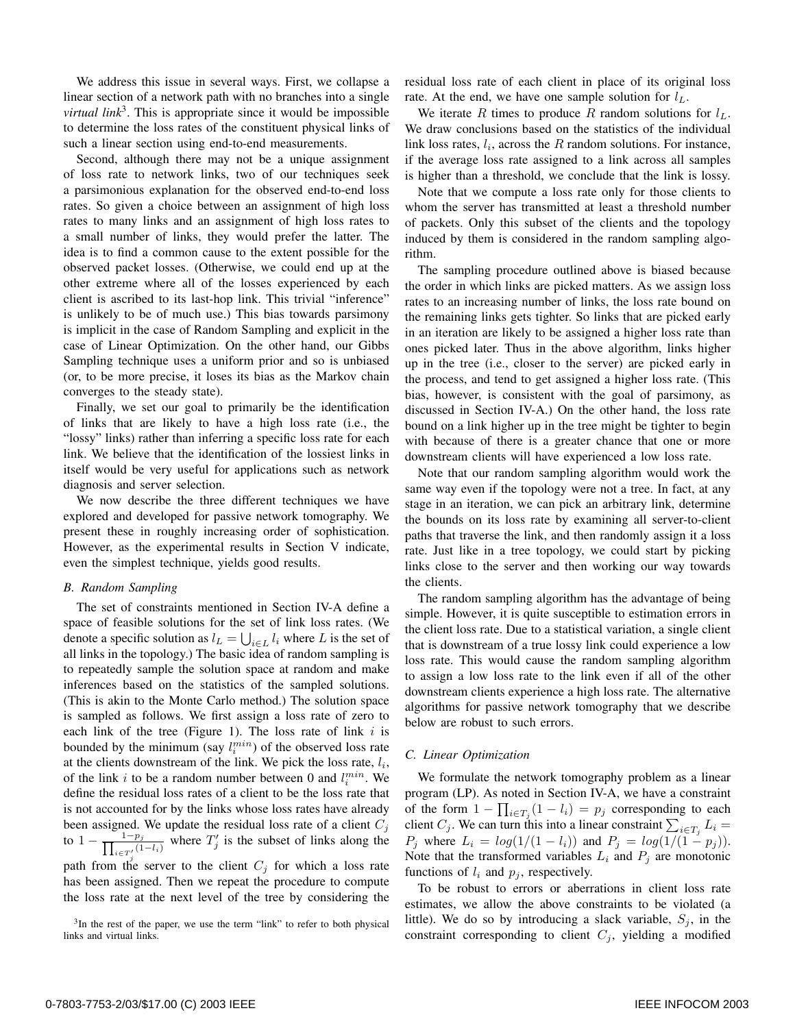We address this issue in several ways. First, we collapse a linear section of a network path with no branches into a single *virtual link*<sup>3</sup>. This is appropriate since it would be impossible to determine the loss rates of the constituent physical links of such a linear section using end-to-end measurements.

Second, although there may not be a unique assignment of loss rate to network links, two of our techniques seek a parsimonious explanation for the observed end-to-end loss rates. So given a choice between an assignment of high loss rates to many links and an assignment of high loss rates to a small number of links, they would prefer the latter. The idea is to find a common cause to the extent possible for the observed packet losses. (Otherwise, we could end up at the other extreme where all of the losses experienced by each client is ascribed to its last-hop link. This trivial "inference" is unlikely to be of much use.) This bias towards parsimony is implicit in the case of Random Sampling and explicit in the case of Linear Optimization. On the other hand, our Gibbs Sampling technique uses a uniform prior and so is unbiased (or, to be more precise, it loses its bias as the Markov chain converges to the steady state).

Finally, we set our goal to primarily be the identification of links that are likely to have a high loss rate (i.e., the "lossy" links) rather than inferring a specific loss rate for each link. We believe that the identification of the lossiest links in itself would be very useful for applications such as network diagnosis and server selection.

We now describe the three different techniques we have explored and developed for passive network tomography. We present these in roughly increasing order of sophistication. However, as the experimental results in Section V indicate, even the simplest technique, yields good results.

#### *B. Random Sampling*

The set of constraints mentioned in Section IV-A define a space of feasible solutions for the set of link loss rates. (We denote a specific solution as  $l_L = \bigcup_{i \in L} l_i$  where *L* is the set of all links in the topology.) The basic idea of random sampling is to repeatedly sample the solution space at random and make inferences based on the statistics of the sampled solutions. (This is akin to the Monte Carlo method.) The solution space is sampled as follows. We first assign a loss rate of zero to each link of the tree (Figure 1). The loss rate of link *i* is bounded by the minimum (say  $l_i^{min}$ ) of the observed loss rate at the clients downstream of the link. We pick the loss rate, *li*, of the link *i* to be a random number between 0 and  $l_i^{min}$ . We define the residual loss rates of a client to be the loss rate that is not accounted for by the links whose loss rates have already been assigned. We update the residual loss rate of a client *C<sup>j</sup>* to 1 *−* 1*−p<sup>j</sup>*  $\frac{1-p_j}{i \in T'_i}$  where  $T'_j$  is the subset of links along the path from the server to the client  $C_j$  for which a loss rate has been assigned. Then we repeat the procedure to compute

 $3$ In the rest of the paper, we use the term "link" to refer to both physical links and virtual links.

the loss rate at the next level of the tree by considering the

residual loss rate of each client in place of its original loss rate. At the end, we have one sample solution for *lL*.

We iterate *R* times to produce *R* random solutions for  $l_L$ . We draw conclusions based on the statistics of the individual link loss rates, *li*, across the *R* random solutions. For instance, if the average loss rate assigned to a link across all samples is higher than a threshold, we conclude that the link is lossy.

Note that we compute a loss rate only for those clients to whom the server has transmitted at least a threshold number of packets. Only this subset of the clients and the topology induced by them is considered in the random sampling algorithm.

The sampling procedure outlined above is biased because the order in which links are picked matters. As we assign loss rates to an increasing number of links, the loss rate bound on the remaining links gets tighter. So links that are picked early in an iteration are likely to be assigned a higher loss rate than ones picked later. Thus in the above algorithm, links higher up in the tree (i.e., closer to the server) are picked early in the process, and tend to get assigned a higher loss rate. (This bias, however, is consistent with the goal of parsimony, as discussed in Section IV-A.) On the other hand, the loss rate bound on a link higher up in the tree might be tighter to begin with because of there is a greater chance that one or more downstream clients will have experienced a low loss rate.

Note that our random sampling algorithm would work the same way even if the topology were not a tree. In fact, at any stage in an iteration, we can pick an arbitrary link, determine the bounds on its loss rate by examining all server-to-client paths that traverse the link, and then randomly assign it a loss rate. Just like in a tree topology, we could start by picking links close to the server and then working our way towards the clients.

The random sampling algorithm has the advantage of being simple. However, it is quite susceptible to estimation errors in the client loss rate. Due to a statistical variation, a single client that is downstream of a true lossy link could experience a low loss rate. This would cause the random sampling algorithm to assign a low loss rate to the link even if all of the other downstream clients experience a high loss rate. The alternative algorithms for passive network tomography that we describe below are robust to such errors.

# *C. Linear Optimization*

We formulate the network tomography problem as a linear program (LP). As noted in Section IV-A, we have a constraint of the form  $1 - \prod_{i \in T_j} (1 - l_i) = p_j$  corresponding to each client *C*<sub>j</sub>. We can turn this into a linear constraint  $\sum_{i \in T_j} L_i =$ *P*<sup>*j*</sup> where  $L_i = log(1/(1 - l_i))$  and  $P_j = log(1/(1 - p_j)).$ Note that the transformed variables  $L_i$  and  $P_j$  are monotonic functions of  $l_i$  and  $p_j$ , respectively.

To be robust to errors or aberrations in client loss rate estimates, we allow the above constraints to be violated (a little). We do so by introducing a slack variable,  $S_j$ , in the constraint corresponding to client  $C_j$ , yielding a modified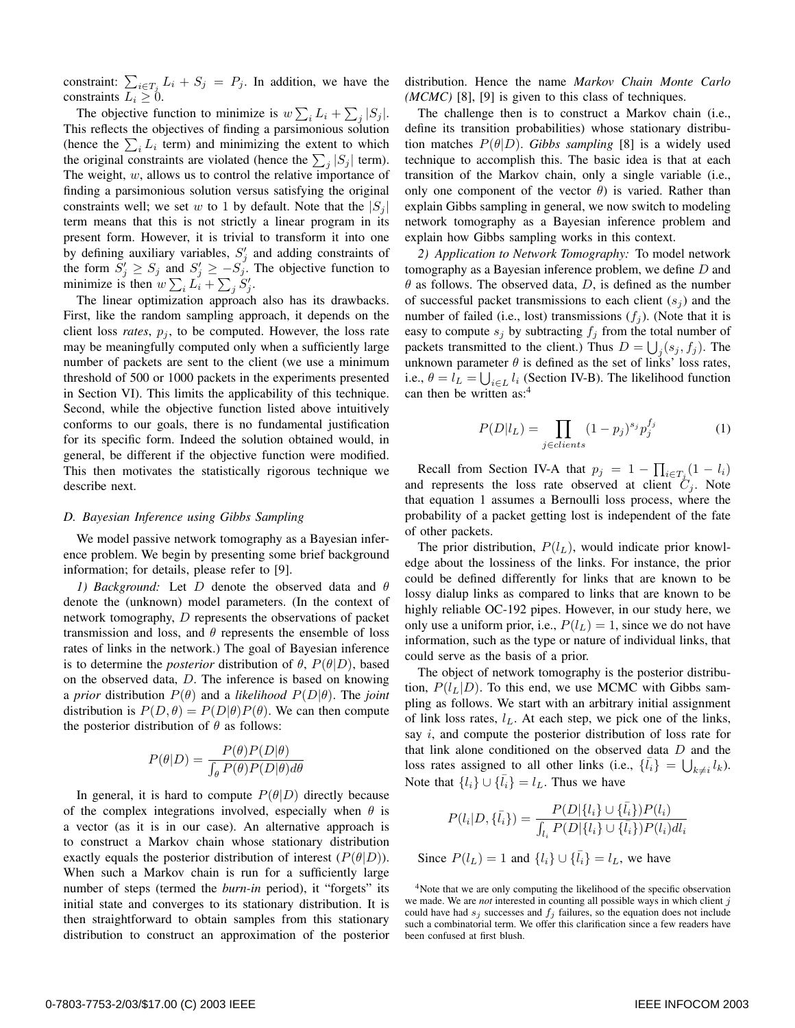constraint:  $\sum_{i \in T_j} L_i + S_j = P_j$ . In addition, we have the constraints  $L_i \geq 0$ .

The objective function to minimize is  $w \sum_i L_i + \sum_j |S_j|$ . This reflects the objectives of finding a parsimonious solution (hence the  $\sum_i L_i$  term) and minimizing the extent to which the original constraints are violated (hence the  $\sum_{j} |S_j|$  term). The weight, *w*, allows us to control the relative importance of finding a parsimonious solution versus satisfying the original constraints well; we set *w* to 1 by default. Note that the  $|S_i|$ term means that this is not strictly a linear program in its present form. However, it is trivial to transform it into one by defining auxiliary variables, *S <sup>j</sup>* and adding constraints of the form  $S'_j \geq S_j$  and  $S'_j \geq -S_j$ . The objective function to minimize is then  $w \sum_i L_i + \sum_j S_j$ .

The linear optimization approach also has its drawbacks. First, like the random sampling approach, it depends on the client loss *rates*,  $p_j$ , to be computed. However, the loss rate may be meaningfully computed only when a sufficiently large number of packets are sent to the client (we use a minimum threshold of 500 or 1000 packets in the experiments presented in Section VI). This limits the applicability of this technique. Second, while the objective function listed above intuitively conforms to our goals, there is no fundamental justification for its specific form. Indeed the solution obtained would, in general, be different if the objective function were modified. This then motivates the statistically rigorous technique we describe next.

#### *D. Bayesian Inference using Gibbs Sampling*

We model passive network tomography as a Bayesian inference problem. We begin by presenting some brief background information; for details, please refer to [9].

*1) Background:* Let *D* denote the observed data and *θ* denote the (unknown) model parameters. (In the context of network tomography, *D* represents the observations of packet transmission and loss, and  $\theta$  represents the ensemble of loss rates of links in the network.) The goal of Bayesian inference is to determine the *posterior* distribution of  $\theta$ ,  $P(\theta|D)$ , based on the observed data, *D*. The inference is based on knowing a *prior* distribution  $P(\theta)$  and a *likelihood*  $P(D|\theta)$ . The *joint* distribution is  $P(D, \theta) = P(D|\theta)P(\theta)$ . We can then compute the posterior distribution of *θ* as follows:

$$
P(\theta|D) = \frac{P(\theta)P(D|\theta)}{\int_{\theta} P(\theta)P(D|\theta)d\theta}
$$

In general, it is hard to compute  $P(\theta|D)$  directly because of the complex integrations involved, especially when  $\theta$  is a vector (as it is in our case). An alternative approach is to construct a Markov chain whose stationary distribution exactly equals the posterior distribution of interest  $(P(\theta|D))$ . When such a Markov chain is run for a sufficiently large number of steps (termed the *burn-in* period), it "forgets" its initial state and converges to its stationary distribution. It is then straightforward to obtain samples from this stationary distribution to construct an approximation of the posterior distribution. Hence the name *Markov Chain Monte Carlo (MCMC)* [8], [9] is given to this class of techniques.

The challenge then is to construct a Markov chain (i.e., define its transition probabilities) whose stationary distribution matches  $P(\theta|D)$ . *Gibbs sampling* [8] is a widely used technique to accomplish this. The basic idea is that at each transition of the Markov chain, only a single variable (i.e., only one component of the vector  $\theta$ ) is varied. Rather than explain Gibbs sampling in general, we now switch to modeling network tomography as a Bayesian inference problem and explain how Gibbs sampling works in this context.

*2) Application to Network Tomography:* To model network tomography as a Bayesian inference problem, we define *D* and  $\theta$  as follows. The observed data,  $D$ , is defined as the number of successful packet transmissions to each client  $(s_i)$  and the number of failed (i.e., lost) transmissions  $(f_i)$ . (Note that it is easy to compute  $s_j$  by subtracting  $f_j$  from the total number of packets transmitted to the client.) Thus  $D = \bigcup_j (s_j, f_j)$ . The unknown parameter  $\theta$  is defined as the set of links' loss rates, i.e.,  $\theta = l_L = \bigcup_{i \in L} l_i$  (Section IV-B). The likelihood function can then be written as:<sup>4</sup>

$$
P(D|l_L) = \prod_{j \in clients} (1 - p_j)^{s_j} p_j^{f_j}
$$
 (1)

Recall from Section IV-A that  $p_j = 1 - \prod_{i \in T_j} (1 - l_i)$ and represents the loss rate observed at client  $C_j$ . Note that equation 1 assumes a Bernoulli loss process, where the probability of a packet getting lost is independent of the fate of other packets.

The prior distribution,  $P(l_L)$ , would indicate prior knowledge about the lossiness of the links. For instance, the prior could be defined differently for links that are known to be lossy dialup links as compared to links that are known to be highly reliable OC-192 pipes. However, in our study here, we only use a uniform prior, i.e.,  $P(l_L)=1$ , since we do not have information, such as the type or nature of individual links, that could serve as the basis of a prior.

The object of network tomography is the posterior distribution,  $P(l_L|D)$ . To this end, we use MCMC with Gibbs sampling as follows. We start with an arbitrary initial assignment of link loss rates, *lL*. At each step, we pick one of the links, say *i*, and compute the posterior distribution of loss rate for that link alone conditioned on the observed data *D* and the loss rates assigned to all other links (i.e.,  $\{\bar{l}_i\} = \bigcup_{k \neq i} l_k$ ). Note that  $\{l_i\} \cup \{l_i\} = l_L$ . Thus we have

$$
P(l_i|D, \{\bar{l}_i\}) = \frac{P(D|\{l_i\} \cup \{\bar{l}_i\})P(l_i)}{\int_{l_i} P(D|\{l_i\} \cup \{\bar{l}_i\})P(l_i)dl_i}
$$

Since  $P(l_L) = 1$  and  $\{l_i\} \cup \{l_i\} = l_L$ , we have

<sup>&</sup>lt;sup>4</sup>Note that we are only computing the likelihood of the specific observation we made. We are *not* interested in counting all possible ways in which client *j* could have had  $s_j$  successes and  $f_j$  failures, so the equation does not include such a combinatorial term. We offer this clarification since a few readers have been confused at first blush.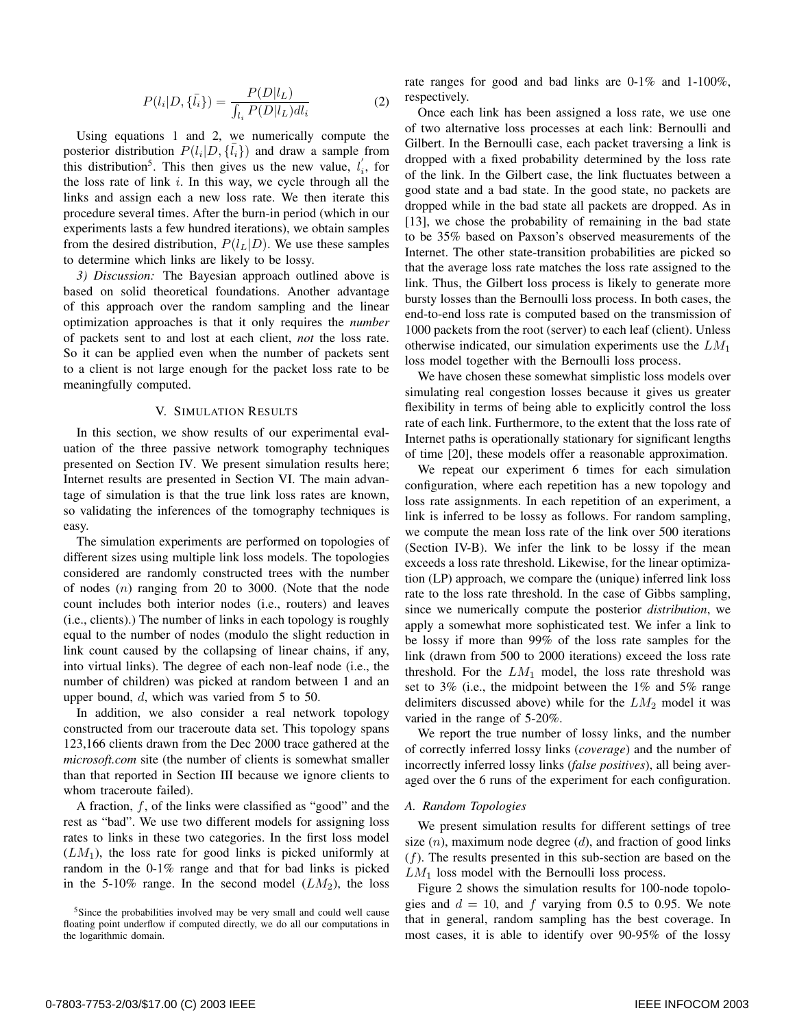$$
P(l_i|D, \{\bar{l}_i\}) = \frac{P(D|l_L)}{\int_{l_i} P(D|l_L)dl_i}
$$
 (2)

Using equations 1 and 2, we numerically compute the posterior distribution  $P(l_i|D, \{l_i\})$  and draw a sample from this distribution<sup>5</sup>. This then gives us the new value,  $l_i$ , for the loss rate of link *i*. In this way, we cycle through all the links and assign each a new loss rate. We then iterate this procedure several times. After the burn-in period (which in our experiments lasts a few hundred iterations), we obtain samples from the desired distribution,  $P(l_L|D)$ . We use these samples to determine which links are likely to be lossy.

*3) Discussion:* The Bayesian approach outlined above is based on solid theoretical foundations. Another advantage of this approach over the random sampling and the linear optimization approaches is that it only requires the *number* of packets sent to and lost at each client, *not* the loss rate. So it can be applied even when the number of packets sent to a client is not large enough for the packet loss rate to be meaningfully computed.

## V. SIMULATION RESULTS

In this section, we show results of our experimental evaluation of the three passive network tomography techniques presented on Section IV. We present simulation results here; Internet results are presented in Section VI. The main advantage of simulation is that the true link loss rates are known, so validating the inferences of the tomography techniques is easy.

The simulation experiments are performed on topologies of different sizes using multiple link loss models. The topologies considered are randomly constructed trees with the number of nodes (*n*) ranging from 20 to 3000. (Note that the node count includes both interior nodes (i.e., routers) and leaves (i.e., clients).) The number of links in each topology is roughly equal to the number of nodes (modulo the slight reduction in link count caused by the collapsing of linear chains, if any, into virtual links). The degree of each non-leaf node (i.e., the number of children) was picked at random between 1 and an upper bound, *d*, which was varied from 5 to 50.

In addition, we also consider a real network topology constructed from our traceroute data set. This topology spans 123,166 clients drawn from the Dec 2000 trace gathered at the *microsoft.com* site (the number of clients is somewhat smaller than that reported in Section III because we ignore clients to whom traceroute failed).

A fraction, *f*, of the links were classified as "good" and the rest as "bad". We use two different models for assigning loss rates to links in these two categories. In the first loss model  $(LM_1)$ , the loss rate for good links is picked uniformly at random in the 0-1% range and that for bad links is picked in the 5-10% range. In the second model  $(LM_2)$ , the loss rate ranges for good and bad links are 0-1% and 1-100%, respectively.

Once each link has been assigned a loss rate, we use one of two alternative loss processes at each link: Bernoulli and Gilbert. In the Bernoulli case, each packet traversing a link is dropped with a fixed probability determined by the loss rate of the link. In the Gilbert case, the link fluctuates between a good state and a bad state. In the good state, no packets are dropped while in the bad state all packets are dropped. As in [13], we chose the probability of remaining in the bad state to be 35% based on Paxson's observed measurements of the Internet. The other state-transition probabilities are picked so that the average loss rate matches the loss rate assigned to the link. Thus, the Gilbert loss process is likely to generate more bursty losses than the Bernoulli loss process. In both cases, the end-to-end loss rate is computed based on the transmission of 1000 packets from the root (server) to each leaf (client). Unless otherwise indicated, our simulation experiments use the *LM*<sup>1</sup> loss model together with the Bernoulli loss process.

We have chosen these somewhat simplistic loss models over simulating real congestion losses because it gives us greater flexibility in terms of being able to explicitly control the loss rate of each link. Furthermore, to the extent that the loss rate of Internet paths is operationally stationary for significant lengths of time [20], these models offer a reasonable approximation.

We repeat our experiment 6 times for each simulation configuration, where each repetition has a new topology and loss rate assignments. In each repetition of an experiment, a link is inferred to be lossy as follows. For random sampling, we compute the mean loss rate of the link over 500 iterations (Section IV-B). We infer the link to be lossy if the mean exceeds a loss rate threshold. Likewise, for the linear optimization (LP) approach, we compare the (unique) inferred link loss rate to the loss rate threshold. In the case of Gibbs sampling, since we numerically compute the posterior *distribution*, we apply a somewhat more sophisticated test. We infer a link to be lossy if more than 99% of the loss rate samples for the link (drawn from 500 to 2000 iterations) exceed the loss rate threshold. For the  $LM_1$  model, the loss rate threshold was set to 3% (i.e., the midpoint between the 1% and 5% range delimiters discussed above) while for the *LM*<sup>2</sup> model it was varied in the range of 5-20%.

We report the true number of lossy links, and the number of correctly inferred lossy links (*coverage*) and the number of incorrectly inferred lossy links (*false positives*), all being averaged over the 6 runs of the experiment for each configuration.

## *A. Random Topologies*

We present simulation results for different settings of tree size (*n*), maximum node degree (*d*), and fraction of good links (*f*). The results presented in this sub-section are based on the *LM*<sup>1</sup> loss model with the Bernoulli loss process.

Figure 2 shows the simulation results for 100-node topologies and  $d = 10$ , and  $f$  varying from 0.5 to 0.95. We note that in general, random sampling has the best coverage. In most cases, it is able to identify over 90-95% of the lossy

<sup>&</sup>lt;sup>5</sup>Since the probabilities involved may be very small and could well cause floating point underflow if computed directly, we do all our computations in the logarithmic domain.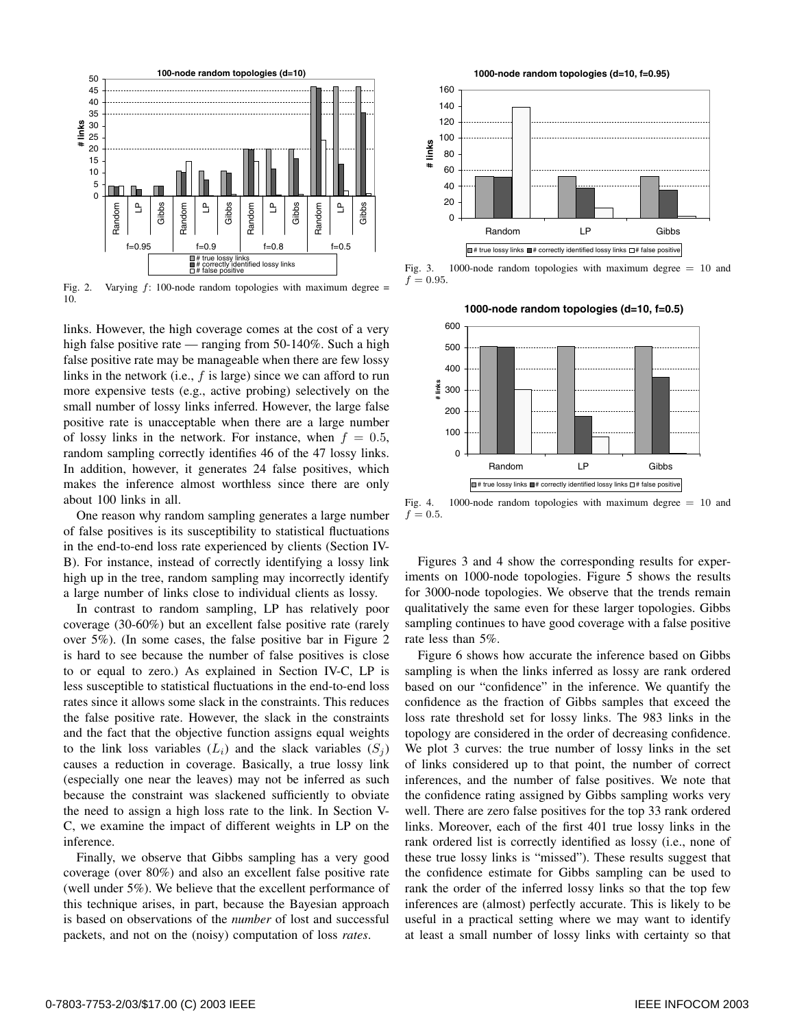

Fig. 2. Varying *f*: 100-node random topologies with maximum degree = 10.

links. However, the high coverage comes at the cost of a very high false positive rate — ranging from 50-140%. Such a high false positive rate may be manageable when there are few lossy links in the network (i.e., *f* is large) since we can afford to run more expensive tests (e.g., active probing) selectively on the small number of lossy links inferred. However, the large false positive rate is unacceptable when there are a large number of lossy links in the network. For instance, when  $f = 0.5$ , random sampling correctly identifies 46 of the 47 lossy links. In addition, however, it generates 24 false positives, which makes the inference almost worthless since there are only about 100 links in all.

One reason why random sampling generates a large number of false positives is its susceptibility to statistical fluctuations in the end-to-end loss rate experienced by clients (Section IV-B). For instance, instead of correctly identifying a lossy link high up in the tree, random sampling may incorrectly identify a large number of links close to individual clients as lossy.

In contrast to random sampling, LP has relatively poor coverage (30-60%) but an excellent false positive rate (rarely over 5%). (In some cases, the false positive bar in Figure 2 is hard to see because the number of false positives is close to or equal to zero.) As explained in Section IV-C, LP is less susceptible to statistical fluctuations in the end-to-end loss rates since it allows some slack in the constraints. This reduces the false positive rate. However, the slack in the constraints and the fact that the objective function assigns equal weights to the link loss variables  $(L_i)$  and the slack variables  $(S_i)$ causes a reduction in coverage. Basically, a true lossy link (especially one near the leaves) may not be inferred as such because the constraint was slackened sufficiently to obviate the need to assign a high loss rate to the link. In Section V-C, we examine the impact of different weights in LP on the inference.

Finally, we observe that Gibbs sampling has a very good coverage (over 80%) and also an excellent false positive rate (well under 5%). We believe that the excellent performance of this technique arises, in part, because the Bayesian approach is based on observations of the *number* of lost and successful packets, and not on the (noisy) computation of loss *rates*.

**1000-node random topologies (d=10, f=0.95)** 0 20 40 60 80 100 120 140 160 Random LP Gibbs **# links**  $\boxed{\Box}$  # true lossy links  $\Box$  # correctly identified lossy links  $\Box$  # false positive

Fig. 3. 1000-node random topologies with maximum degree = 10 and  $f = 0.95$ .



Fig. 4. 1000-node random topologies with maximum degree  $= 10$  and  $f = 0.5$ .

Figures 3 and 4 show the corresponding results for experiments on 1000-node topologies. Figure 5 shows the results for 3000-node topologies. We observe that the trends remain qualitatively the same even for these larger topologies. Gibbs sampling continues to have good coverage with a false positive rate less than 5%.

Figure 6 shows how accurate the inference based on Gibbs sampling is when the links inferred as lossy are rank ordered based on our "confidence" in the inference. We quantify the confidence as the fraction of Gibbs samples that exceed the loss rate threshold set for lossy links. The 983 links in the topology are considered in the order of decreasing confidence. We plot 3 curves: the true number of lossy links in the set of links considered up to that point, the number of correct inferences, and the number of false positives. We note that the confidence rating assigned by Gibbs sampling works very well. There are zero false positives for the top 33 rank ordered links. Moreover, each of the first 401 true lossy links in the rank ordered list is correctly identified as lossy (i.e., none of these true lossy links is "missed"). These results suggest that the confidence estimate for Gibbs sampling can be used to rank the order of the inferred lossy links so that the top few inferences are (almost) perfectly accurate. This is likely to be useful in a practical setting where we may want to identify at least a small number of lossy links with certainty so that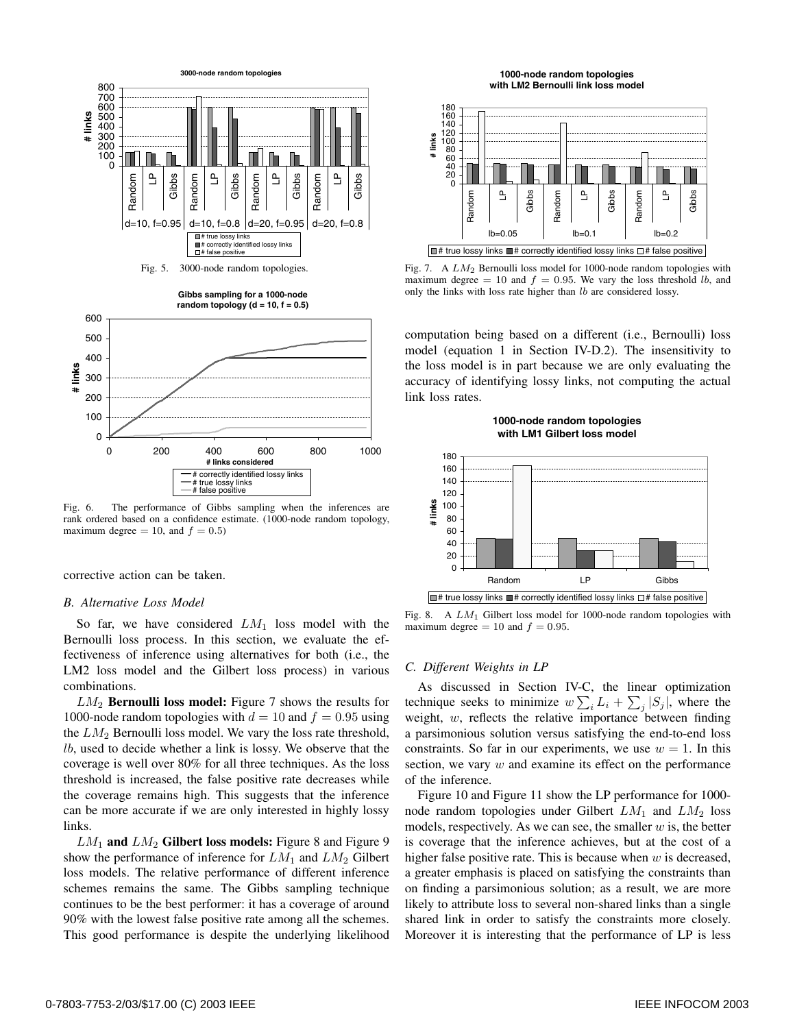

**Gibbs sampling for a 1000-node random topology (d = 10, f = 0.5)**



Fig. 6. The performance of Gibbs sampling when the inferences are rank ordered based on a confidence estimate. (1000-node random topology, maximum degree  $= 10$ , and  $f = 0.5$ 

corrective action can be taken.

## *B. Alternative Loss Model*

So far, we have considered  $LM_1$  loss model with the Bernoulli loss process. In this section, we evaluate the effectiveness of inference using alternatives for both (i.e., the LM2 loss model and the Gilbert loss process) in various combinations.

*LM*<sup>2</sup> **Bernoulli loss model:** Figure 7 shows the results for 1000-node random topologies with  $d = 10$  and  $f = 0.95$  using the *LM*<sup>2</sup> Bernoulli loss model. We vary the loss rate threshold, *lb*, used to decide whether a link is lossy. We observe that the coverage is well over 80% for all three techniques. As the loss threshold is increased, the false positive rate decreases while the coverage remains high. This suggests that the inference can be more accurate if we are only interested in highly lossy links.

*LM*<sup>1</sup> **and** *LM*<sup>2</sup> **Gilbert loss models:** Figure 8 and Figure 9 show the performance of inference for  $LM_1$  and  $LM_2$  Gilbert loss models. The relative performance of different inference schemes remains the same. The Gibbs sampling technique continues to be the best performer: it has a coverage of around 90% with the lowest false positive rate among all the schemes. This good performance is despite the underlying likelihood

**1000-node random topologies with LM2 Bernoulli link loss model**



Fig. 7. A  $LM_2$  Bernoulli loss model for 1000-node random topologies with maximum degree  $= 10$  and  $f = 0.95$ . We vary the loss threshold *lb*, and only the links with loss rate higher than *lb* are considered lossy.

computation being based on a different (i.e., Bernoulli) loss model (equation 1 in Section IV-D.2). The insensitivity to the loss model is in part because we are only evaluating the accuracy of identifying lossy links, not computing the actual link loss rates.



Fig. 8. A  $LM_1$  Gilbert loss model for 1000-node random topologies with maximum degree  $= 10$  and  $f = 0.95$ .

## *C. Different Weights in LP*

As discussed in Section IV-C, the linear optimization technique seeks to minimize  $w \sum_{i} L_i + \sum_{j} |S_j|$ , where the weight, *w*, reflects the relative importance between finding a parsimonious solution versus satisfying the end-to-end loss constraints. So far in our experiments, we use  $w = 1$ . In this section, we vary *w* and examine its effect on the performance of the inference.

Figure 10 and Figure 11 show the LP performance for 1000 node random topologies under Gilbert  $LM_1$  and  $LM_2$  loss models, respectively. As we can see, the smaller *w* is, the better is coverage that the inference achieves, but at the cost of a higher false positive rate. This is because when *w* is decreased, a greater emphasis is placed on satisfying the constraints than on finding a parsimonious solution; as a result, we are more likely to attribute loss to several non-shared links than a single shared link in order to satisfy the constraints more closely. Moreover it is interesting that the performance of LP is less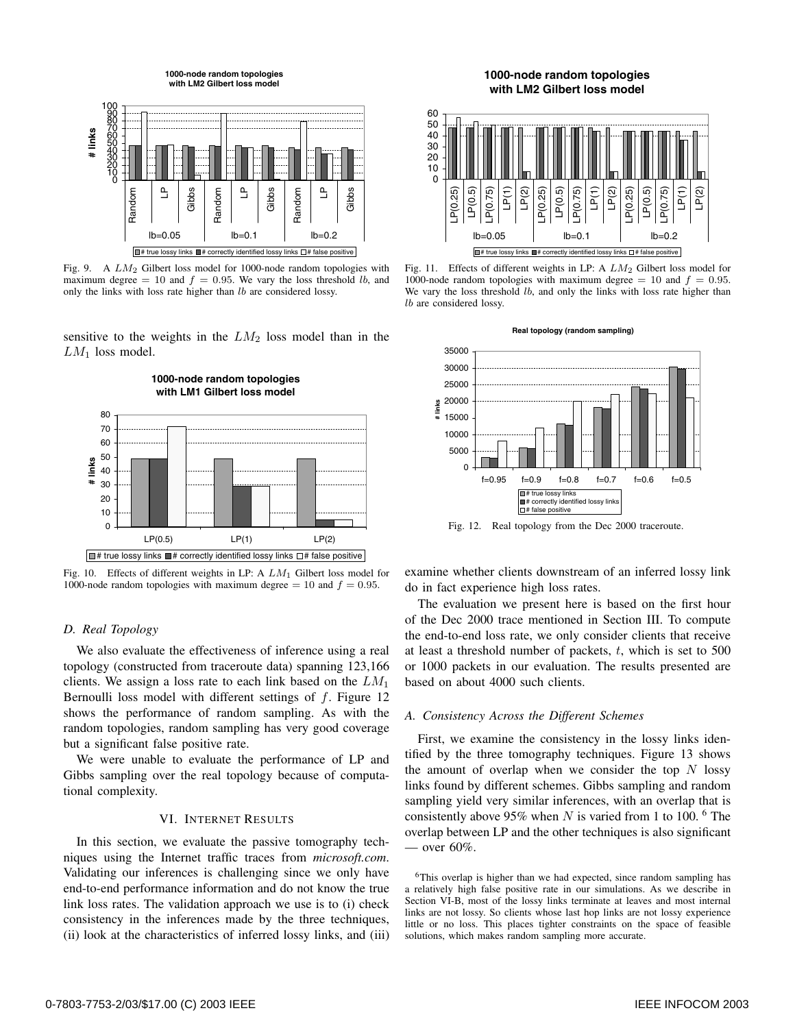

Fig. 9. A  $LM_2$  Gilbert loss model for 1000-node random topologies with maximum degree  $= 10$  and  $f = 0.95$ . We vary the loss threshold *lb*, and only the links with loss rate higher than *lb* are considered lossy.

sensitive to the weights in the *LM*<sup>2</sup> loss model than in the *LM*<sup>1</sup> loss model.



Fig. 10. Effects of different weights in LP: A *LM*1 Gilbert loss model for 1000-node random topologies with maximum degree  $= 10$  and  $f = 0.95$ .

#### *D. Real Topology*

We also evaluate the effectiveness of inference using a real topology (constructed from traceroute data) spanning 123,166 clients. We assign a loss rate to each link based on the *LM*<sup>1</sup> Bernoulli loss model with different settings of *f*. Figure 12 shows the performance of random sampling. As with the random topologies, random sampling has very good coverage but a significant false positive rate.

We were unable to evaluate the performance of LP and Gibbs sampling over the real topology because of computational complexity.

## VI. INTERNET RESULTS

In this section, we evaluate the passive tomography techniques using the Internet traffic traces from *microsoft.com*. Validating our inferences is challenging since we only have end-to-end performance information and do not know the true link loss rates. The validation approach we use is to (i) check consistency in the inferences made by the three techniques, (ii) look at the characteristics of inferred lossy links, and (iii)

**1000-node random topologies with LM2 Gilbert loss model**



Fig. 11. Effects of different weights in LP: A  $LM_2$  Gilbert loss model for 1000-node random topologies with maximum degree  $= 10$  and  $f = 0.95$ . We vary the loss threshold *lb*, and only the links with loss rate higher than *lb* are considered lossy.



Fig. 12. Real topology from the Dec 2000 traceroute.

examine whether clients downstream of an inferred lossy link do in fact experience high loss rates.

The evaluation we present here is based on the first hour of the Dec 2000 trace mentioned in Section III. To compute the end-to-end loss rate, we only consider clients that receive at least a threshold number of packets, *t*, which is set to 500 or 1000 packets in our evaluation. The results presented are based on about 4000 such clients.

#### *A. Consistency Across the Different Schemes*

First, we examine the consistency in the lossy links identified by the three tomography techniques. Figure 13 shows the amount of overlap when we consider the top *N* lossy links found by different schemes. Gibbs sampling and random sampling yield very similar inferences, with an overlap that is consistently above 95% when *N* is varied from 1 to 100. <sup>6</sup> The overlap between LP and the other techniques is also significant  $-$  over 60%.

6This overlap is higher than we had expected, since random sampling has a relatively high false positive rate in our simulations. As we describe in Section VI-B, most of the lossy links terminate at leaves and most internal links are not lossy. So clients whose last hop links are not lossy experience little or no loss. This places tighter constraints on the space of feasible solutions, which makes random sampling more accurate.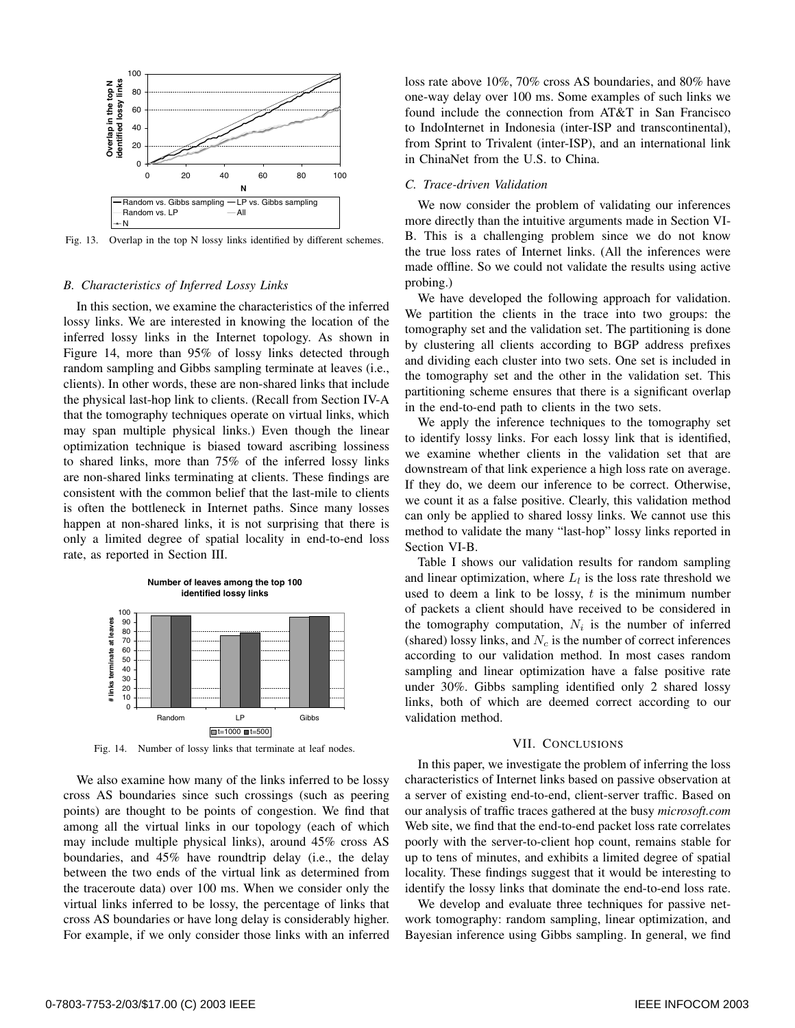

Fig. 13. Overlap in the top N lossy links identified by different schemes.

## *B. Characteristics of Inferred Lossy Links*

In this section, we examine the characteristics of the inferred lossy links. We are interested in knowing the location of the inferred lossy links in the Internet topology. As shown in Figure 14, more than 95% of lossy links detected through random sampling and Gibbs sampling terminate at leaves (i.e., clients). In other words, these are non-shared links that include the physical last-hop link to clients. (Recall from Section IV-A that the tomography techniques operate on virtual links, which may span multiple physical links.) Even though the linear optimization technique is biased toward ascribing lossiness to shared links, more than 75% of the inferred lossy links are non-shared links terminating at clients. These findings are consistent with the common belief that the last-mile to clients is often the bottleneck in Internet paths. Since many losses happen at non-shared links, it is not surprising that there is only a limited degree of spatial locality in end-to-end loss rate, as reported in Section III.



**Number of leaves among the top 100**

Fig. 14. Number of lossy links that terminate at leaf nodes.

We also examine how many of the links inferred to be lossy cross AS boundaries since such crossings (such as peering points) are thought to be points of congestion. We find that among all the virtual links in our topology (each of which may include multiple physical links), around 45% cross AS boundaries, and 45% have roundtrip delay (i.e., the delay between the two ends of the virtual link as determined from the traceroute data) over 100 ms. When we consider only the virtual links inferred to be lossy, the percentage of links that cross AS boundaries or have long delay is considerably higher. For example, if we only consider those links with an inferred loss rate above 10%, 70% cross AS boundaries, and 80% have one-way delay over 100 ms. Some examples of such links we found include the connection from AT&T in San Francisco to IndoInternet in Indonesia (inter-ISP and transcontinental), from Sprint to Trivalent (inter-ISP), and an international link in ChinaNet from the U.S. to China.

## *C. Trace-driven Validation*

We now consider the problem of validating our inferences more directly than the intuitive arguments made in Section VI-B. This is a challenging problem since we do not know the true loss rates of Internet links. (All the inferences were made offline. So we could not validate the results using active probing.)

We have developed the following approach for validation. We partition the clients in the trace into two groups: the tomography set and the validation set. The partitioning is done by clustering all clients according to BGP address prefixes and dividing each cluster into two sets. One set is included in the tomography set and the other in the validation set. This partitioning scheme ensures that there is a significant overlap in the end-to-end path to clients in the two sets.

We apply the inference techniques to the tomography set to identify lossy links. For each lossy link that is identified, we examine whether clients in the validation set that are downstream of that link experience a high loss rate on average. If they do, we deem our inference to be correct. Otherwise, we count it as a false positive. Clearly, this validation method can only be applied to shared lossy links. We cannot use this method to validate the many "last-hop" lossy links reported in Section VI-B.

Table I shows our validation results for random sampling and linear optimization, where  $L_l$  is the loss rate threshold we used to deem a link to be lossy, *t* is the minimum number of packets a client should have received to be considered in the tomography computation,  $N_i$  is the number of inferred (shared) lossy links, and *N<sup>c</sup>* is the number of correct inferences according to our validation method. In most cases random sampling and linear optimization have a false positive rate under 30%. Gibbs sampling identified only 2 shared lossy links, both of which are deemed correct according to our validation method.

# VII. CONCLUSIONS

In this paper, we investigate the problem of inferring the loss characteristics of Internet links based on passive observation at a server of existing end-to-end, client-server traffic. Based on our analysis of traffic traces gathered at the busy *microsoft.com* Web site, we find that the end-to-end packet loss rate correlates poorly with the server-to-client hop count, remains stable for up to tens of minutes, and exhibits a limited degree of spatial locality. These findings suggest that it would be interesting to identify the lossy links that dominate the end-to-end loss rate.

We develop and evaluate three techniques for passive network tomography: random sampling, linear optimization, and Bayesian inference using Gibbs sampling. In general, we find